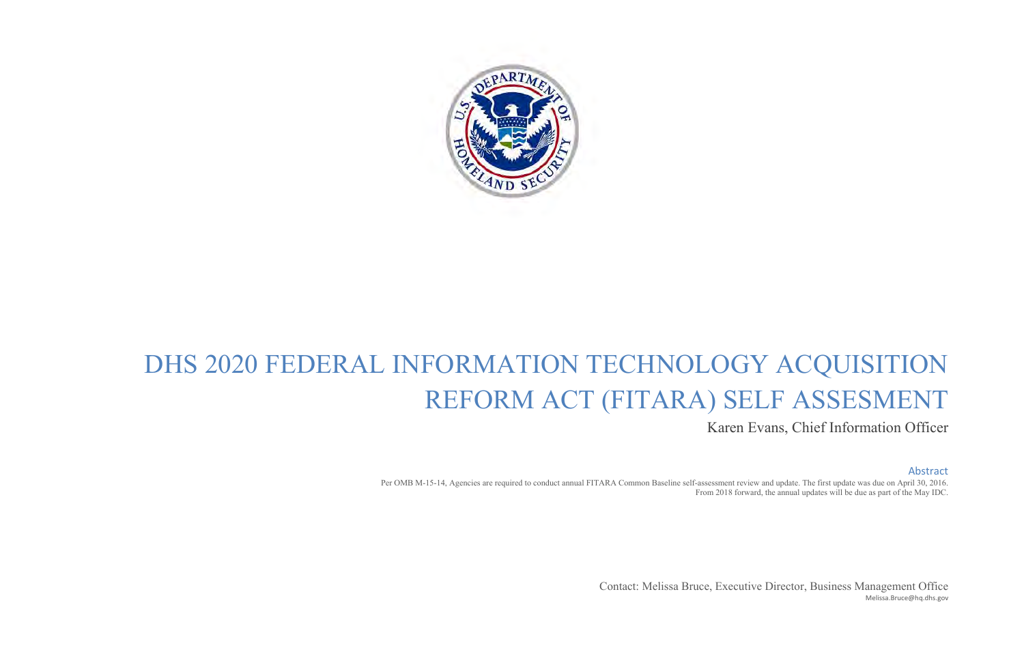

# DHS 2020 FEDERAL INFORMATION TECHNOLOGY ACQUISITION REFORM ACT (FITARA) SELF ASSESMENT

Karen Evans, Chief Information Officer

#### Abstract

Per OMB M-15-14, Agencies are required to conduct annual FITARA Common Baseline self-assessment review and update. The first update was due on April 30, 2016. From 2018 forward, the annual updates will be due as part of the May IDC.

> Contact: Melissa Bruce, Executive Director, Business Management Office [Melissa.Bruce@hq.dhs.gov](mailto:Melissa.Bruce@hq.dhs.gov)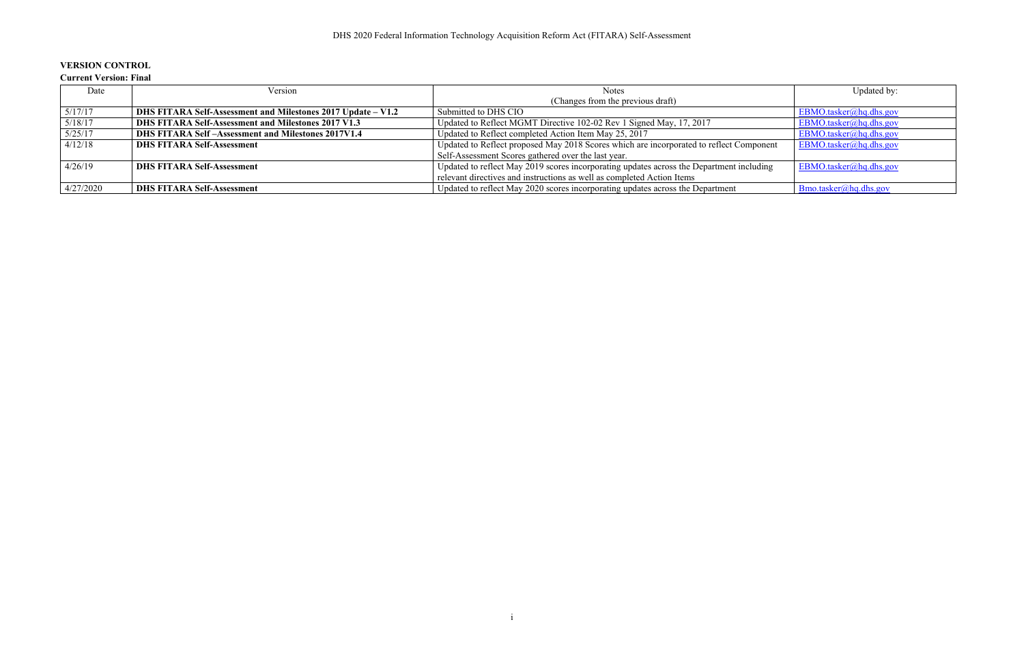## **VERSION CONTROL**

#### **Current Version: Final**

| Date      | Version                                                      | <b>Notes</b>                                                                             | Updated by:               |
|-----------|--------------------------------------------------------------|------------------------------------------------------------------------------------------|---------------------------|
|           |                                                              | (Changes from the previous draft)                                                        |                           |
| 5/17/17   | DHS FITARA Self-Assessment and Milestones 2017 Update – V1.2 | Submitted to DHS CIO                                                                     | EBMO.tasker@hq.dhs.gov    |
| 5/18/17   | DHS FITARA Self-Assessment and Milestones 2017 V1.3          | Updated to Reflect MGMT Directive 102-02 Rev 1 Signed May, 17, 2017                      | $EBMO$ .tasker@hq.dhs.gov |
| 5/25/17   | <b>DHS FITARA Self-Assessment and Milestones 2017V1.4</b>    | Updated to Reflect completed Action Item May 25, 2017                                    | $EBMO$ .tasker@hq.dhs.gov |
| 4/12/18   | <b>DHS FITARA Self-Assessment</b>                            | Updated to Reflect proposed May 2018 Scores which are incorporated to reflect Component  | $EBMO$ .tasker@hq.dhs.gov |
|           |                                                              | Self-Assessment Scores gathered over the last year.                                      |                           |
| 4/26/19   | <b>DHS FITARA Self-Assessment</b>                            | Updated to reflect May 2019 scores incorporating updates across the Department including | $EBMO$ .tasker@hq.dhs.gov |
|           |                                                              | relevant directives and instructions as well as completed Action Items                   |                           |
| 4/27/2020 | <b>DHS FITARA Self-Assessment</b>                            | Updated to reflect May 2020 scores incorporating updates across the Department           | Bmo.tasker@hq.dhs.gov     |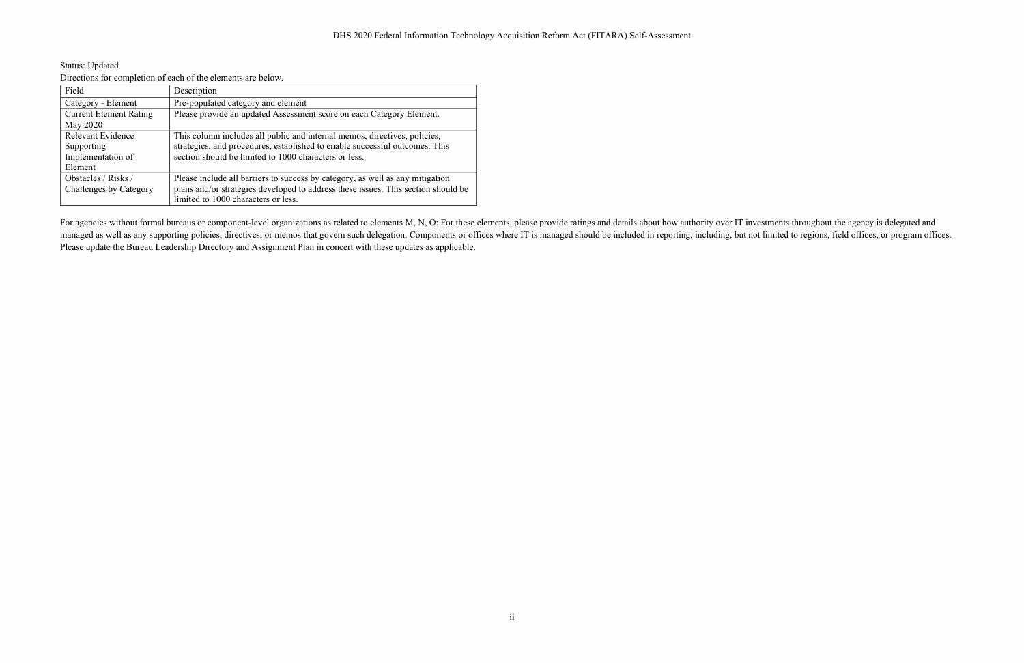Status: Updated Directions for completion of each of the elements are below.

| Directions for completion of caen of the crements are octobril |                                                                                   |  |  |
|----------------------------------------------------------------|-----------------------------------------------------------------------------------|--|--|
| Field                                                          | Description                                                                       |  |  |
| Category - Element                                             | Pre-populated category and element                                                |  |  |
| <b>Current Element Rating</b>                                  | Please provide an updated Assessment score on each Category Element.              |  |  |
| May 2020                                                       |                                                                                   |  |  |
| <b>Relevant Evidence</b>                                       | This column includes all public and internal memos, directives, policies,         |  |  |
| Supporting                                                     | strategies, and procedures, established to enable successful outcomes. This       |  |  |
| Implementation of                                              | section should be limited to 1000 characters or less.                             |  |  |
| Element                                                        |                                                                                   |  |  |
| Obstacles / Risks /                                            | Please include all barriers to success by category, as well as any mitigation     |  |  |
| Challenges by Category                                         | plans and/or strategies developed to address these issues. This section should be |  |  |
|                                                                | limited to 1000 characters or less.                                               |  |  |

For agencies without formal bureaus or component-level organizations as related to elements M, N, O: For these elements, please provide ratings and details about how authority over IT investments throughout the agency is d managed as well as any supporting policies, directives, or memos that govern such delegation. Components or offices where IT is managed should be included in reporting, including, but not limited to regions, field offices, Please update the Bureau Leadership Directory and Assignment Plan in concert with these updates as applicable.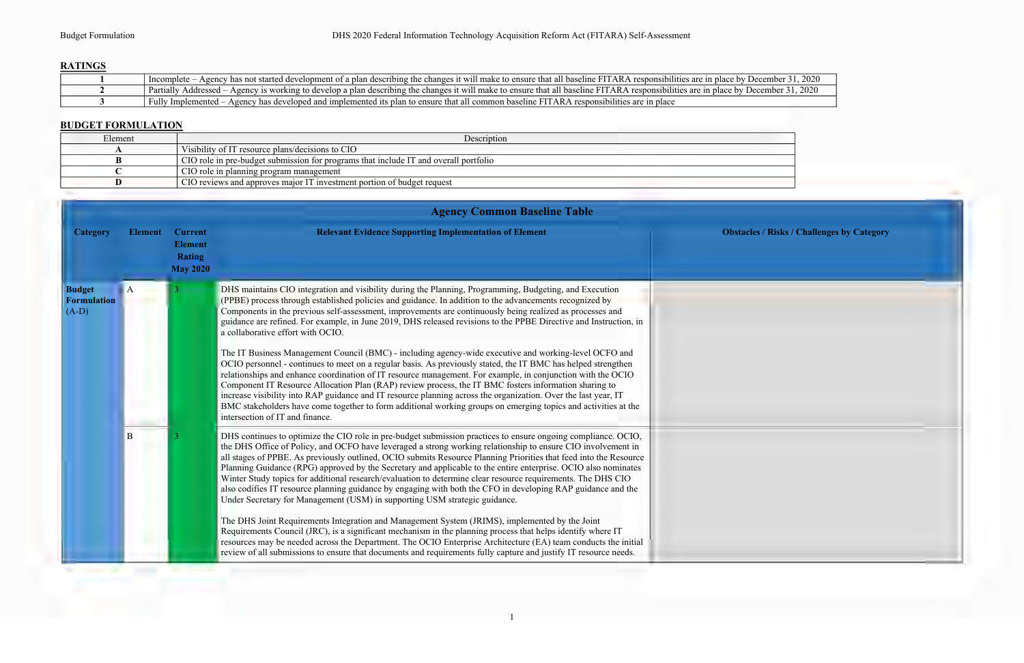# **RATINGS**

| - Agency has not started development of a plan describing the changes it will make to ensure that all baseline FITARA responsibilities are in place by December 31, 2020<br>Incomplete   |
|------------------------------------------------------------------------------------------------------------------------------------------------------------------------------------------|
| - Agency is working to develop a plan describing the changes it will make to ensure that all baseline FITARA responsibilities are in place by December 31, 2020<br>Partially Addressed – |
| Fully Implemented – Agency has developed and implemented its plan to ensure that all common baseline FITARA responsibilities are in place                                                |

### **BUDGET FORMULATION**

| Element | Description                                                                          |
|---------|--------------------------------------------------------------------------------------|
|         | Visibility of IT resource plans/decisions to CIO                                     |
|         | CIO role in pre-budget submission for programs that include IT and overall portfolio |
|         | CIO role in planning program management                                              |
|         | CIO reviews and approves major IT investment portion of budget request               |

|                                         |                |                                                                      | <b>Agency Common Baseline Table</b>                                                                                                                                                                                                                                                                                                                                                                                                                                                                                                                                                                                                                                                                                                                                                                                                                                                                                                                                                                                                                                                                                                                                                                                                       |                                                   |
|-----------------------------------------|----------------|----------------------------------------------------------------------|-------------------------------------------------------------------------------------------------------------------------------------------------------------------------------------------------------------------------------------------------------------------------------------------------------------------------------------------------------------------------------------------------------------------------------------------------------------------------------------------------------------------------------------------------------------------------------------------------------------------------------------------------------------------------------------------------------------------------------------------------------------------------------------------------------------------------------------------------------------------------------------------------------------------------------------------------------------------------------------------------------------------------------------------------------------------------------------------------------------------------------------------------------------------------------------------------------------------------------------------|---------------------------------------------------|
| <b>Category</b>                         | <b>Element</b> | <b>Current</b><br><b>Element</b><br><b>Rating</b><br><b>May 2020</b> | <b>Relevant Evidence Supporting Implementation of Element</b>                                                                                                                                                                                                                                                                                                                                                                                                                                                                                                                                                                                                                                                                                                                                                                                                                                                                                                                                                                                                                                                                                                                                                                             | <b>Obstacles / Risks / Challenges by Category</b> |
| <b>Budget</b><br>Formulation<br>$(A-D)$ |                |                                                                      | DHS maintains CIO integration and visibility during the Planning, Programming, Budgeting, and Execution<br>(PPBE) process through established policies and guidance. In addition to the advancements recognized by<br>Components in the previous self-assessment, improvements are continuously being realized as processes and<br>guidance are refined. For example, in June 2019, DHS released revisions to the PPBE Directive and Instruction, in<br>a collaborative effort with OCIO.<br>The IT Business Management Council (BMC) - including agency-wide executive and working-level OCFO and<br>OCIO personnel - continues to meet on a regular basis. As previously stated, the IT BMC has helped strengthen<br>relationships and enhance coordination of IT resource management. For example, in conjunction with the OCIO<br>Component IT Resource Allocation Plan (RAP) review process, the IT BMC fosters information sharing to<br>increase visibility into RAP guidance and IT resource planning across the organization. Over the last year, IT<br>BMC stakeholders have come together to form additional working groups on emerging topics and activities at the<br>intersection of IT and finance.                        |                                                   |
|                                         | B              |                                                                      | DHS continues to optimize the CIO role in pre-budget submission practices to ensure ongoing compliance. OCIO,<br>the DHS Office of Policy, and OCFO have leveraged a strong working relationship to ensure CIO involvement in<br>all stages of PPBE. As previously outlined, OCIO submits Resource Planning Priorities that feed into the Resource<br>Planning Guidance (RPG) approved by the Secretary and applicable to the entire enterprise. OCIO also nominates<br>Winter Study topics for additional research/evaluation to determine clear resource requirements. The DHS CIO<br>also codifies IT resource planning guidance by engaging with both the CFO in developing RAP guidance and the<br>Under Secretary for Management (USM) in supporting USM strategic guidance.<br>The DHS Joint Requirements Integration and Management System (JRIMS), implemented by the Joint<br>Requirements Council (JRC), is a significant mechanism in the planning process that helps identify where IT<br>resources may be needed across the Department. The OCIO Enterprise Architecture (EA) team conducts the initial<br>review of all submissions to ensure that documents and requirements fully capture and justify IT resource needs. |                                                   |

| December 31, 2020<br>December 31, 2020 |                                       |  |  |
|----------------------------------------|---------------------------------------|--|--|
|                                        |                                       |  |  |
|                                        | cles / Risks / Challenges by Category |  |  |
|                                        |                                       |  |  |
|                                        |                                       |  |  |
|                                        |                                       |  |  |
|                                        |                                       |  |  |
|                                        |                                       |  |  |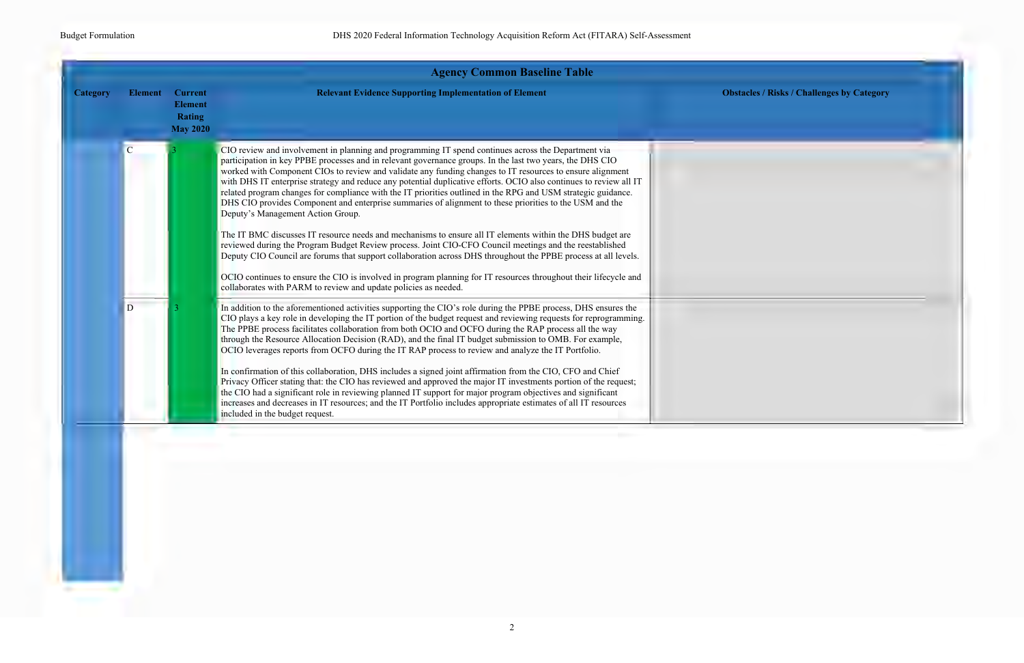

|                 |                |                                                                      | <b>Agency Common Baseline Table</b>                                                                                                                                                                                                                                                                                                                                                                                                                                                                                                                                                                                                                                                                                                                                                                                                                                                                                                                                                                                                                                                                                                                                                                                                                   |        |
|-----------------|----------------|----------------------------------------------------------------------|-------------------------------------------------------------------------------------------------------------------------------------------------------------------------------------------------------------------------------------------------------------------------------------------------------------------------------------------------------------------------------------------------------------------------------------------------------------------------------------------------------------------------------------------------------------------------------------------------------------------------------------------------------------------------------------------------------------------------------------------------------------------------------------------------------------------------------------------------------------------------------------------------------------------------------------------------------------------------------------------------------------------------------------------------------------------------------------------------------------------------------------------------------------------------------------------------------------------------------------------------------|--------|
| <b>Category</b> | <b>Element</b> | <b>Current</b><br><b>Element</b><br><b>Rating</b><br><b>May 2020</b> | <b>Relevant Evidence Supporting Implementation of Element</b>                                                                                                                                                                                                                                                                                                                                                                                                                                                                                                                                                                                                                                                                                                                                                                                                                                                                                                                                                                                                                                                                                                                                                                                         | Obstac |
|                 | $\overline{C}$ |                                                                      | CIO review and involvement in planning and programming IT spend continues across the Department via<br>participation in key PPBE processes and in relevant governance groups. In the last two years, the DHS CIO<br>worked with Component CIOs to review and validate any funding changes to IT resources to ensure alignment<br>with DHS IT enterprise strategy and reduce any potential duplicative efforts. OCIO also continues to review all IT<br>related program changes for compliance with the IT priorities outlined in the RPG and USM strategic guidance.<br>DHS CIO provides Component and enterprise summaries of alignment to these priorities to the USM and the<br>Deputy's Management Action Group.<br>The IT BMC discusses IT resource needs and mechanisms to ensure all IT elements within the DHS budget are<br>reviewed during the Program Budget Review process. Joint CIO-CFO Council meetings and the reestablished<br>Deputy CIO Council are forums that support collaboration across DHS throughout the PPBE process at all levels.<br>OCIO continues to ensure the CIO is involved in program planning for IT resources throughout their lifecycle and<br>collaborates with PARM to review and update policies as needed. |        |
|                 | D              |                                                                      | In addition to the aforementioned activities supporting the CIO's role during the PPBE process, DHS ensures the<br>CIO plays a key role in developing the IT portion of the budget request and reviewing requests for reprogramming.<br>The PPBE process facilitates collaboration from both OCIO and OCFO during the RAP process all the way<br>through the Resource Allocation Decision (RAD), and the final IT budget submission to OMB. For example,<br>OCIO leverages reports from OCFO during the IT RAP process to review and analyze the IT Portfolio.<br>In confirmation of this collaboration, DHS includes a signed joint affirmation from the CIO, CFO and Chief<br>Privacy Officer stating that: the CIO has reviewed and approved the major IT investments portion of the request;<br>the CIO had a significant role in reviewing planned IT support for major program objectives and significant<br>increases and decreases in IT resources; and the IT Portfolio includes appropriate estimates of all IT resources<br>included in the budget request.                                                                                                                                                                                |        |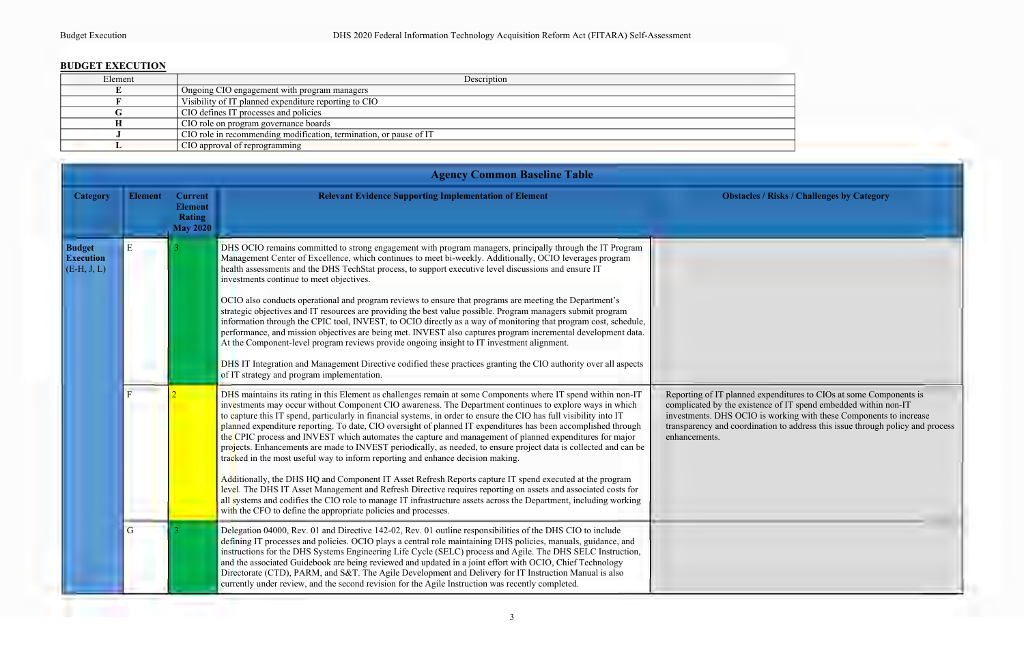### **BUDGET EXECUTION**

| Element | Description                                                        |
|---------|--------------------------------------------------------------------|
|         | Ongoing CIO engagement with program managers                       |
|         | Visibility of IT planned expenditure reporting to CIO              |
|         | CIO defines IT processes and policies                              |
|         | CIO role on program governance boards                              |
|         | CIO role in recommending modification, termination, or pause of IT |
|         | CIO approval of reprogramming                                      |
|         |                                                                    |

|                                                    | <b>Agency Common Baseline Table</b> |                                                               |                                                                                                                                                                                                                                                                                                                                                                                                                                                                                                                                                                                                                                                                                                                                                                                                                                                                                                                                                                                                                                                                                                                                                                                                             |                                                                                                                                                                                                                                                                                                                |  |
|----------------------------------------------------|-------------------------------------|---------------------------------------------------------------|-------------------------------------------------------------------------------------------------------------------------------------------------------------------------------------------------------------------------------------------------------------------------------------------------------------------------------------------------------------------------------------------------------------------------------------------------------------------------------------------------------------------------------------------------------------------------------------------------------------------------------------------------------------------------------------------------------------------------------------------------------------------------------------------------------------------------------------------------------------------------------------------------------------------------------------------------------------------------------------------------------------------------------------------------------------------------------------------------------------------------------------------------------------------------------------------------------------|----------------------------------------------------------------------------------------------------------------------------------------------------------------------------------------------------------------------------------------------------------------------------------------------------------------|--|
| <b>Category</b>                                    | <b>Element</b>                      | <b>Current</b><br><b>Element</b><br>Rating<br><b>May 2020</b> | <b>Relevant Evidence Supporting Implementation of Element</b>                                                                                                                                                                                                                                                                                                                                                                                                                                                                                                                                                                                                                                                                                                                                                                                                                                                                                                                                                                                                                                                                                                                                               | <b>Obstacles / Risks / Challenges by Category</b>                                                                                                                                                                                                                                                              |  |
| <b>Budget</b><br><b>Execution</b><br>$(E-H, J, L)$ | E                                   |                                                               | DHS OCIO remains committed to strong engagement with program managers, principally through the IT Program<br>Management Center of Excellence, which continues to meet bi-weekly. Additionally, OCIO leverages program<br>health assessments and the DHS TechStat process, to support executive level discussions and ensure IT<br>investments continue to meet objectives.<br>OCIO also conducts operational and program reviews to ensure that programs are meeting the Department's<br>strategic objectives and IT resources are providing the best value possible. Program managers submit program<br>information through the CPIC tool, INVEST, to OCIO directly as a way of monitoring that program cost, schedule,<br>performance, and mission objectives are being met. INVEST also captures program incremental development data.<br>At the Component-level program reviews provide ongoing insight to IT investment alignment.<br>DHS IT Integration and Management Directive codified these practices granting the CIO authority over all aspects<br>of IT strategy and program implementation.                                                                                                   |                                                                                                                                                                                                                                                                                                                |  |
|                                                    |                                     |                                                               | DHS maintains its rating in this Element as challenges remain at some Components where IT spend within non-IT<br>investments may occur without Component CIO awareness. The Department continues to explore ways in which<br>to capture this IT spend, particularly in financial systems, in order to ensure the CIO has full visibility into IT<br>planned expenditure reporting. To date, CIO oversight of planned IT expenditures has been accomplished through<br>the CPIC process and INVEST which automates the capture and management of planned expenditures for major<br>projects. Enhancements are made to INVEST periodically, as needed, to ensure project data is collected and can be<br>tracked in the most useful way to inform reporting and enhance decision making.<br>Additionally, the DHS HQ and Component IT Asset Refresh Reports capture IT spend executed at the program<br>level. The DHS IT Asset Management and Refresh Directive requires reporting on assets and associated costs for<br>all systems and codifies the CIO role to manage IT infrastructure assets across the Department, including working<br>with the CFO to define the appropriate policies and processes. | Reporting of IT planned expenditures to CIOs at some Components is<br>complicated by the existence of IT spend embedded within non-IT<br>investments. DHS OCIO is working with these Components to increase<br>transparency and coordination to address this issue through policy and process<br>enhancements. |  |
|                                                    | $\overline{G}$                      |                                                               | Delegation 04000, Rev. 01 and Directive 142-02, Rev. 01 outline responsibilities of the DHS CIO to include<br>defining IT processes and policies. OCIO plays a central role maintaining DHS policies, manuals, guidance, and<br>instructions for the DHS Systems Engineering Life Cycle (SELC) process and Agile. The DHS SELC Instruction,<br>and the associated Guidebook are being reviewed and updated in a joint effort with OCIO, Chief Technology<br>Directorate (CTD), PARM, and S&T. The Agile Development and Delivery for IT Instruction Manual is also<br>currently under review, and the second revision for the Agile Instruction was recently completed.                                                                                                                                                                                                                                                                                                                                                                                                                                                                                                                                     |                                                                                                                                                                                                                                                                                                                |  |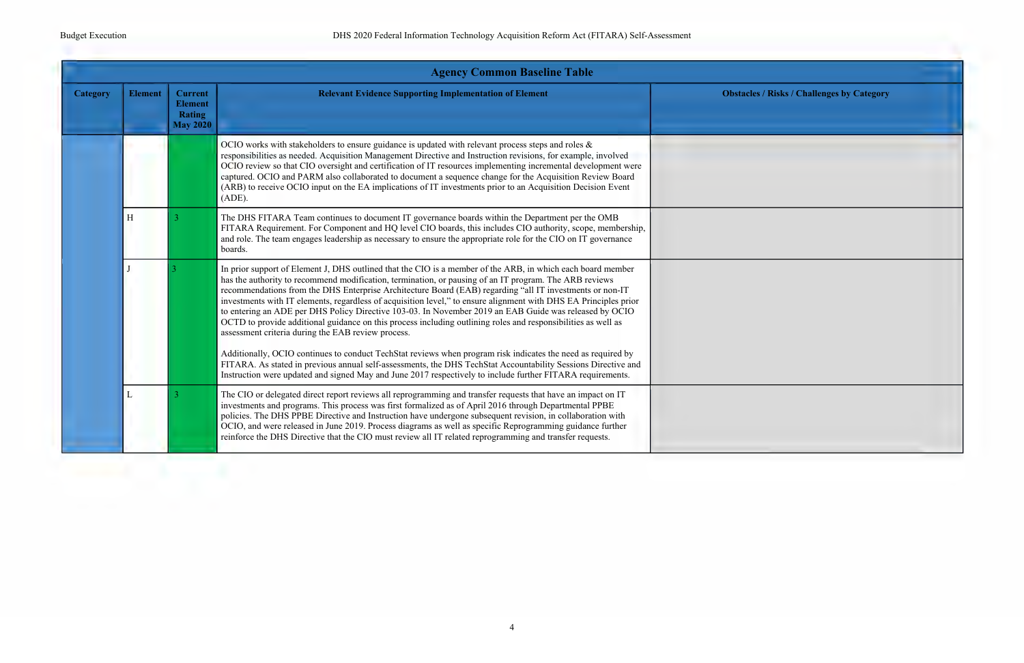|                 |                |                                                                      | <b>Agency Common Baseline Table</b>                                                                                                                                                                                                                                                                                                                                                                                                                                                                                                                                                                                                                                                                                                    |                                                   |
|-----------------|----------------|----------------------------------------------------------------------|----------------------------------------------------------------------------------------------------------------------------------------------------------------------------------------------------------------------------------------------------------------------------------------------------------------------------------------------------------------------------------------------------------------------------------------------------------------------------------------------------------------------------------------------------------------------------------------------------------------------------------------------------------------------------------------------------------------------------------------|---------------------------------------------------|
| <b>Category</b> | <b>Element</b> | <b>Current</b><br><b>Element</b><br><b>Rating</b><br><b>May 2020</b> | <b>Relevant Evidence Supporting Implementation of Element</b>                                                                                                                                                                                                                                                                                                                                                                                                                                                                                                                                                                                                                                                                          | <b>Obstacles / Risks / Challenges by Category</b> |
|                 |                |                                                                      | OCIO works with stakeholders to ensure guidance is updated with relevant process steps and roles &<br>responsibilities as needed. Acquisition Management Directive and Instruction revisions, for example, involved<br>OCIO review so that CIO oversight and certification of IT resources implementing incremental development were<br>captured. OCIO and PARM also collaborated to document a sequence change for the Acquisition Review Board<br>(ARB) to receive OCIO input on the EA implications of IT investments prior to an Acquisition Decision Event<br>(ADE).                                                                                                                                                              |                                                   |
|                 | H              | 3                                                                    | The DHS FITARA Team continues to document IT governance boards within the Department per the OMB<br>FITARA Requirement. For Component and HQ level CIO boards, this includes CIO authority, scope, membership,<br>and role. The team engages leadership as necessary to ensure the appropriate role for the CIO on IT governance<br>boards.                                                                                                                                                                                                                                                                                                                                                                                            |                                                   |
|                 |                |                                                                      | In prior support of Element J, DHS outlined that the CIO is a member of the ARB, in which each board member<br>has the authority to recommend modification, termination, or pausing of an IT program. The ARB reviews<br>recommendations from the DHS Enterprise Architecture Board (EAB) regarding "all IT investments or non-IT<br>investments with IT elements, regardless of acquisition level," to ensure alignment with DHS EA Principles prior<br>to entering an ADE per DHS Policy Directive 103-03. In November 2019 an EAB Guide was released by OCIO<br>OCTD to provide additional guidance on this process including outlining roles and responsibilities as well as<br>assessment criteria during the EAB review process. |                                                   |
|                 |                |                                                                      | Additionally, OCIO continues to conduct TechStat reviews when program risk indicates the need as required by<br>FITARA. As stated in previous annual self-assessments, the DHS TechStat Accountability Sessions Directive and<br>Instruction were updated and signed May and June 2017 respectively to include further FITARA requirements.                                                                                                                                                                                                                                                                                                                                                                                            |                                                   |
|                 | L              | 3                                                                    | The CIO or delegated direct report reviews all reprogramming and transfer requests that have an impact on IT<br>investments and programs. This process was first formalized as of April 2016 through Departmental PPBE<br>policies. The DHS PPBE Directive and Instruction have undergone subsequent revision, in collaboration with<br>OCIO, and were released in June 2019. Process diagrams as well as specific Reprogramming guidance further<br>reinforce the DHS Directive that the CIO must review all IT related reprogramming and transfer requests.                                                                                                                                                                          |                                                   |

| es / Risks / Challenges by Category |  |
|-------------------------------------|--|
|                                     |  |
|                                     |  |
|                                     |  |
|                                     |  |
|                                     |  |
|                                     |  |
|                                     |  |
|                                     |  |
|                                     |  |
|                                     |  |
|                                     |  |
|                                     |  |
|                                     |  |
|                                     |  |
|                                     |  |
|                                     |  |
|                                     |  |
|                                     |  |
|                                     |  |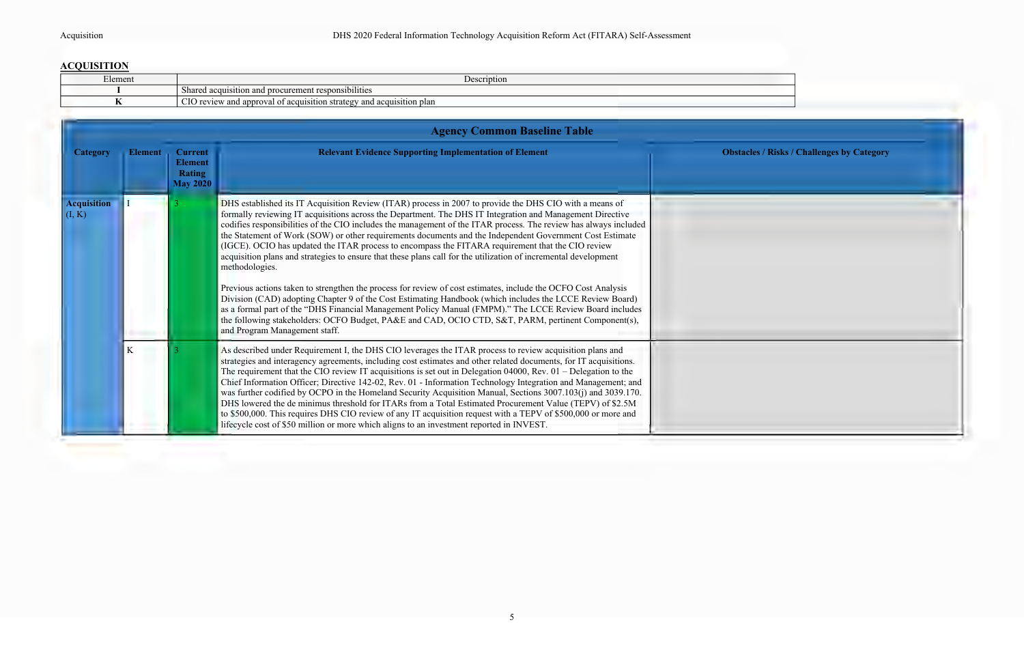# **ACQUISITION**

| --<br>Element | Jescription<br>ノレいし                                                                    |
|---------------|----------------------------------------------------------------------------------------|
|               | and procurement responsibilities<br>Shared acquisition                                 |
|               | CIO review<br>v and approval of<br>and acquisition plan<br>strategy<br>of acquisition. |



|                              |                |                                                                      | <b>Agency Common Baseline Table</b>                                                                                                                                                                                                                                                                                                                                                                                                                                                                                                                                                                                                                                                                                                                                                                                                                                                                                                                                                                                                                                                                                                                                            |                |  |  |
|------------------------------|----------------|----------------------------------------------------------------------|--------------------------------------------------------------------------------------------------------------------------------------------------------------------------------------------------------------------------------------------------------------------------------------------------------------------------------------------------------------------------------------------------------------------------------------------------------------------------------------------------------------------------------------------------------------------------------------------------------------------------------------------------------------------------------------------------------------------------------------------------------------------------------------------------------------------------------------------------------------------------------------------------------------------------------------------------------------------------------------------------------------------------------------------------------------------------------------------------------------------------------------------------------------------------------|----------------|--|--|
| <b>Category</b>              | <b>Element</b> | <b>Current</b><br><b>Element</b><br><b>Rating</b><br><b>May 2020</b> | <b>Relevant Evidence Supporting Implementation of Element</b>                                                                                                                                                                                                                                                                                                                                                                                                                                                                                                                                                                                                                                                                                                                                                                                                                                                                                                                                                                                                                                                                                                                  | <b>Obstacl</b> |  |  |
| <b>Acquisition</b><br>(I, K) |                |                                                                      | DHS established its IT Acquisition Review (ITAR) process in 2007 to provide the DHS CIO with a means of<br>formally reviewing IT acquisitions across the Department. The DHS IT Integration and Management Directive<br>codifies responsibilities of the CIO includes the management of the ITAR process. The review has always included<br>the Statement of Work (SOW) or other requirements documents and the Independent Government Cost Estimate<br>(IGCE). OCIO has updated the ITAR process to encompass the FITARA requirement that the CIO review<br>acquisition plans and strategies to ensure that these plans call for the utilization of incremental development<br>methodologies.<br>Previous actions taken to strengthen the process for review of cost estimates, include the OCFO Cost Analysis<br>Division (CAD) adopting Chapter 9 of the Cost Estimating Handbook (which includes the LCCE Review Board)<br>as a formal part of the "DHS Financial Management Policy Manual (FMPM)." The LCCE Review Board includes<br>the following stakeholders: OCFO Budget, PA&E and CAD, OCIO CTD, S&T, PARM, pertinent Component(s),<br>and Program Management staff. |                |  |  |
|                              | K              |                                                                      | As described under Requirement I, the DHS CIO leverages the ITAR process to review acquisition plans and<br>strategies and interagency agreements, including cost estimates and other related documents, for IT acquisitions.<br>The requirement that the CIO review IT acquisitions is set out in Delegation 04000, Rev. $01$ – Delegation to the<br>Chief Information Officer; Directive 142-02, Rev. 01 - Information Technology Integration and Management; and<br>was further codified by OCPO in the Homeland Security Acquisition Manual, Sections 3007.103(j) and 3039.170.<br>DHS lowered the de minimus threshold for ITARs from a Total Estimated Procurement Value (TEPV) of \$2.5M<br>to \$500,000. This requires DHS CIO review of any IT acquisition request with a TEPV of \$500,000 or more and<br>lifecycle cost of \$50 million or more which aligns to an investment reported in INVEST.                                                                                                                                                                                                                                                                   |                |  |  |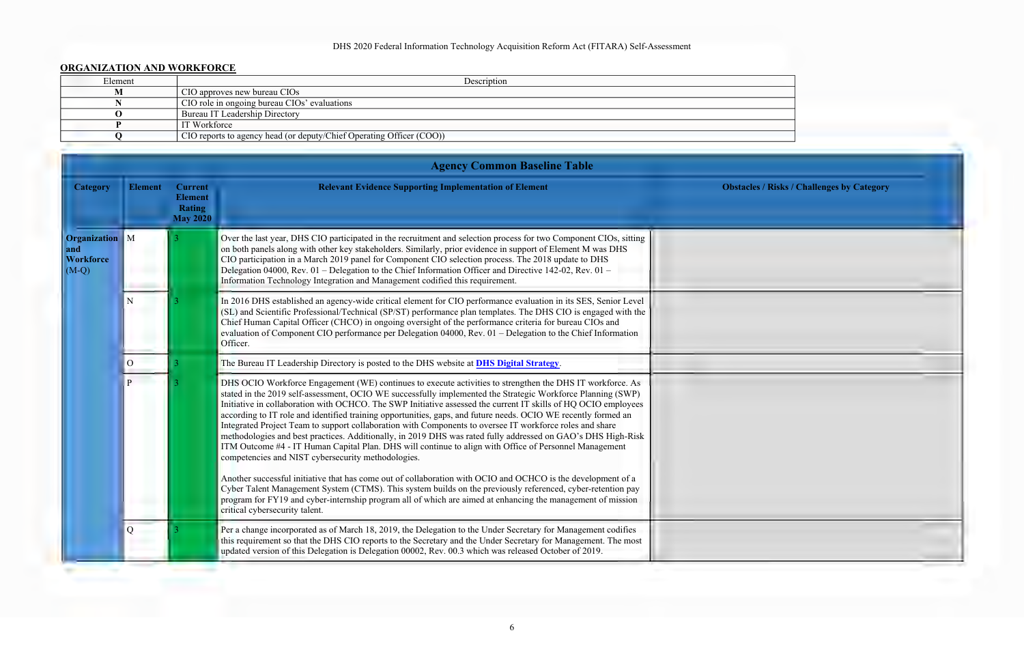### DHS 2020 Federal Information Technology Acquisition Reform Act (FITARA) Self-Assessment

### **ORGANIZATION AND WORKFORCE**

| UNUANIZA HUN AND WUNNFUNCE |                                                                      |  |  |
|----------------------------|----------------------------------------------------------------------|--|--|
| Element                    | Description                                                          |  |  |
| М                          | CIO approves new bureau CIOs                                         |  |  |
|                            | CIO role in ongoing bureau CIOs' evaluations                         |  |  |
|                            | Bureau IT Leadership Directory                                       |  |  |
|                            | IT Workforce                                                         |  |  |
|                            | CIO reports to agency head (or deputy/Chief Operating Officer (COO)) |  |  |
|                            |                                                                      |  |  |

|                                                             |                |                                                                      | <b>Agency Common Baseline Table</b>                                                                                                                                                                                                                                                                                                                                                                                                                                                                                                                                                                                                                                                                                                                                                                                                                      |                                                   |
|-------------------------------------------------------------|----------------|----------------------------------------------------------------------|----------------------------------------------------------------------------------------------------------------------------------------------------------------------------------------------------------------------------------------------------------------------------------------------------------------------------------------------------------------------------------------------------------------------------------------------------------------------------------------------------------------------------------------------------------------------------------------------------------------------------------------------------------------------------------------------------------------------------------------------------------------------------------------------------------------------------------------------------------|---------------------------------------------------|
| <b>Category</b>                                             | <b>Element</b> | <b>Current</b><br><b>Element</b><br><b>Rating</b><br><b>May 2020</b> | <b>Relevant Evidence Supporting Implementation of Element</b>                                                                                                                                                                                                                                                                                                                                                                                                                                                                                                                                                                                                                                                                                                                                                                                            | <b>Obstacles / Risks / Challenges by Category</b> |
| <b>Organization</b> M<br>and<br><b>Workforce</b><br>$(M-Q)$ |                |                                                                      | Over the last year, DHS CIO participated in the recruitment and selection process for two Component CIOs, sitting<br>on both panels along with other key stakeholders. Similarly, prior evidence in support of Element M was DHS<br>CIO participation in a March 2019 panel for Component CIO selection process. The 2018 update to DHS<br>Delegation 04000, Rev. 01 – Delegation to the Chief Information Officer and Directive 142-02, Rev. 01 –<br>Information Technology Integration and Management codified this requirement.                                                                                                                                                                                                                                                                                                                       |                                                   |
|                                                             | N              |                                                                      | In 2016 DHS established an agency-wide critical element for CIO performance evaluation in its SES, Senior Level<br>(SL) and Scientific Professional/Technical (SP/ST) performance plan templates. The DHS CIO is engaged with the<br>Chief Human Capital Officer (CHCO) in ongoing oversight of the performance criteria for bureau CIOs and<br>evaluation of Component CIO performance per Delegation 04000, Rev. 01 - Delegation to the Chief Information<br>Officer.                                                                                                                                                                                                                                                                                                                                                                                  |                                                   |
|                                                             | $\overline{O}$ |                                                                      | The Bureau IT Leadership Directory is posted to the DHS website at <b>DHS Digital Strategy</b> .                                                                                                                                                                                                                                                                                                                                                                                                                                                                                                                                                                                                                                                                                                                                                         |                                                   |
|                                                             |                |                                                                      | DHS OCIO Workforce Engagement (WE) continues to execute activities to strengthen the DHS IT workforce. As<br>stated in the 2019 self-assessment, OCIO WE successfully implemented the Strategic Workforce Planning (SWP)<br>Initiative in collaboration with OCHCO. The SWP Initiative assessed the current IT skills of HQ OCIO employees<br>according to IT role and identified training opportunities, gaps, and future needs. OCIO WE recently formed an<br>Integrated Project Team to support collaboration with Components to oversee IT workforce roles and share<br>methodologies and best practices. Additionally, in 2019 DHS was rated fully addressed on GAO's DHS High-Risk<br>ITM Outcome #4 - IT Human Capital Plan. DHS will continue to align with Office of Personnel Management<br>competencies and NIST cybersecurity methodologies. |                                                   |
|                                                             |                |                                                                      | Another successful initiative that has come out of collaboration with OCIO and OCHCO is the development of a<br>Cyber Talent Management System (CTMS). This system builds on the previously referenced, cyber-retention pay<br>program for FY19 and cyber-internship program all of which are aimed at enhancing the management of mission<br>critical cybersecurity talent.                                                                                                                                                                                                                                                                                                                                                                                                                                                                             |                                                   |
|                                                             | Q              |                                                                      | Per a change incorporated as of March 18, 2019, the Delegation to the Under Secretary for Management codifies<br>this requirement so that the DHS CIO reports to the Secretary and the Under Secretary for Management. The most<br>updated version of this Delegation is Delegation 00002, Rev. 00.3 which was released October of 2019.                                                                                                                                                                                                                                                                                                                                                                                                                                                                                                                 |                                                   |

| les / Risks / Challenges by Category |  |
|--------------------------------------|--|
|                                      |  |
|                                      |  |
|                                      |  |
|                                      |  |
|                                      |  |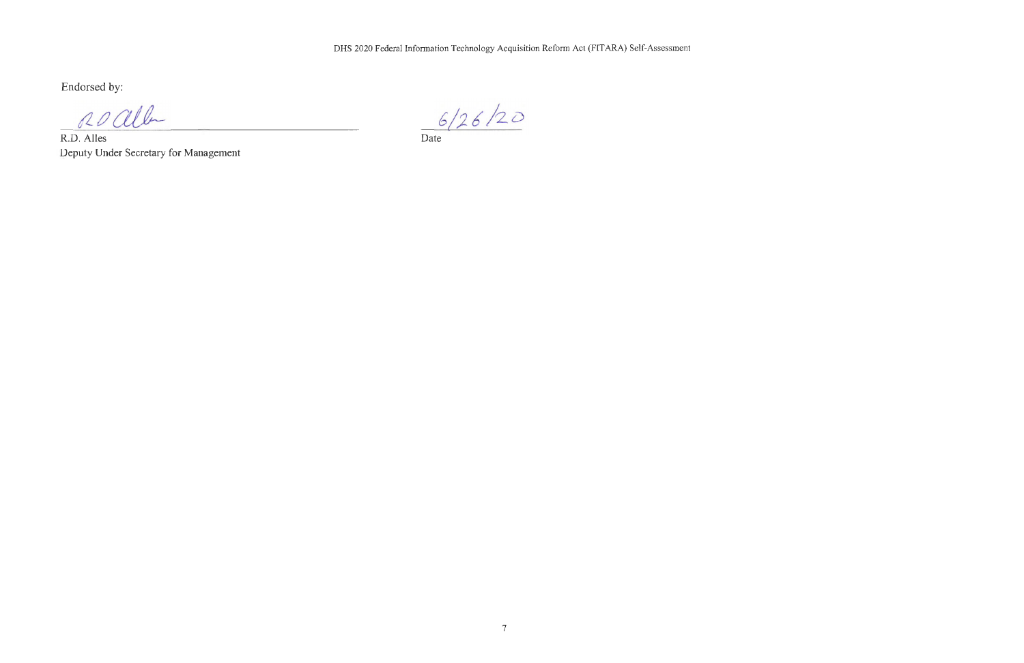Endorsed by:

roalle

R.D. Alles Deputy Under Secretary for Management

 $6/26/20$